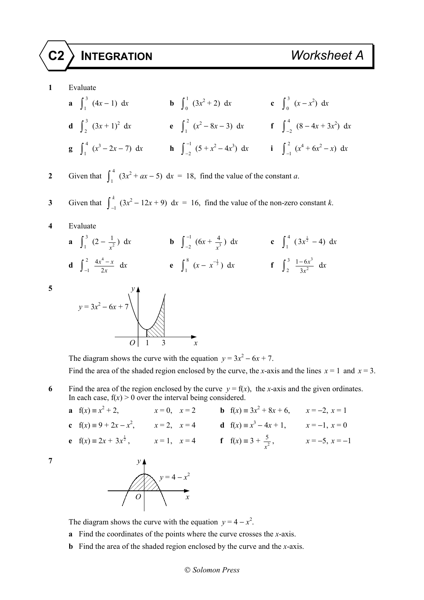## **C2 INTEGRATION** *Worksheet A*

**1** Evaluate

- **a**  $\int_1^3 (4x-1) dx$  **b**  $\int_0^1 (3x^2+2) dx$  **c**  $\int_0^3 (x-x^2) dx$ **d**  $\int_{2}^{3} (3x+1)^{2} dx$  **e**  $\int_{1}^{2} (x^{2}-8x-3) dx$  **f**  $\int_{-2}^{4} (8-4x+3x^{2}) dx$ **g**  $\int_{1}^{4} (x^3 - 2x - 7) dx$  **h**  $\int_{-2}^{-1}$ 2  $\int_{-2}^{-1} (5 + x^2 - 4x^3) dx$  **i**  $\int_{-1}^{2} (x^4 + 6x^2 - x) dx$
- 2 Given that  $\int_{1}^{4} (3x^2 + ax 5) dx = 18$ , find the value of the constant *a*.
- **3** Given that  $\int_{-1}^{1}$  $\int_{-1}^{k} (3x^2 - 12x + 9) dx = 16$ , find the value of the non-zero constant *k*.
- **4** Evaluate
	- **a**  $\int_{1}^{3} (2 \frac{1}{x^2}) dx$  **b**  $\int_{-2}^{-1}$ 2  $\int_{-2}^{-1} (6x + \frac{4}{x^3}) dx$  **c**  $\int_{1}^{4} (3x^{\frac{1}{2}} - 4) dx$ **d**  $\int_{-1}^{2} \frac{4x^4}{2}$  $x^4 - x$  $\int_{x}^{-x} dx$  **e**  $\int_{1}^{8} (x - x^{-\frac{1}{3}}) dx$  **f**  $\int_{2}^{3} \frac{1 - 6x^{3}}{3x^{2}} dx$  $1 - 6$ 3 *x*  $\frac{-6x^3}{3x^2}$  dx

**5** *y*  $y = 3x^2 - 6x + 7$ *O* 1 3 *x* 

The diagram shows the curve with the equation  $y = 3x^2 - 6x + 7$ . Find the area of the shaded region enclosed by the curve, the *x*-axis and the lines  $x = 1$  and  $x = 3$ .

- **6** Find the area of the region enclosed by the curve  $y = f(x)$ , the *x*-axis and the given ordinates. In each case,  $f(x) > 0$  over the interval being considered.
	- **a**  $f(x) \equiv x^2$ + 2,  $x = 0$ ,  $x = 2$  **b**  $f(x) = 3x^2 + 8x + 6$ ,  $x = -2$ ,  $x = 1$ **c**  $f(x) = 9 + 2x - x^2$ ,  $x = 2$ ,  $x = 4$  **d**  $f(x) = x^3 - 4x + 1$ ,  $x = -1$ ,  $x = 0$ **e**  $f(x) = 2x + 3x^{\frac{1}{2}},$   $x = 1, x = 4$  **f**  $f(x) = 3 + \frac{5}{x^2},$   $x = -5, x = -1$



The diagram shows the curve with the equation  $y = 4 - x^2$ .

- **a** Find the coordinates of the points where the curve crosses the *x*-axis.
- **b** Find the area of the shaded region enclosed by the curve and the *x*-axis.